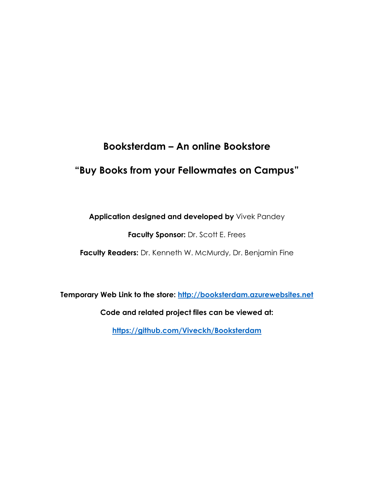# **Booksterdam – An online Bookstore**

## **"Buy Books from your Fellowmates on Campus"**

**Application designed and developed by** Vivek Pandey

**Faculty Sponsor:** Dr. Scott E. Frees

**Faculty Readers:** Dr. Kenneth W. McMurdy, Dr. Benjamin Fine

**Temporary Web Link to the store: [http://booksterdam.azurewebsites.net](http://booksterdam.azurewebsites.net/)**

**Code and related project files can be viewed at:** 

**<https://github.com/Viveckh/Booksterdam>**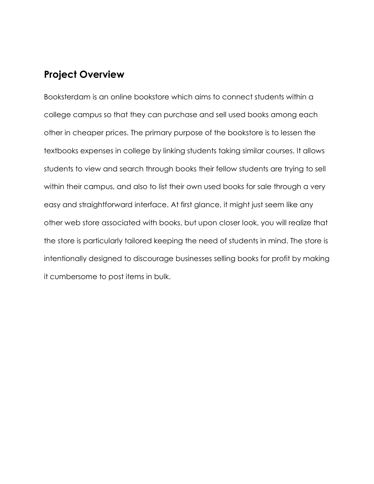### **Project Overview**

Booksterdam is an online bookstore which aims to connect students within a college campus so that they can purchase and sell used books among each other in cheaper prices. The primary purpose of the bookstore is to lessen the textbooks expenses in college by linking students taking similar courses. It allows students to view and search through books their fellow students are trying to sell within their campus, and also to list their own used books for sale through a very easy and straightforward interface. At first glance, it might just seem like any other web store associated with books, but upon closer look, you will realize that the store is particularly tailored keeping the need of students in mind. The store is intentionally designed to discourage businesses selling books for profit by making it cumbersome to post items in bulk.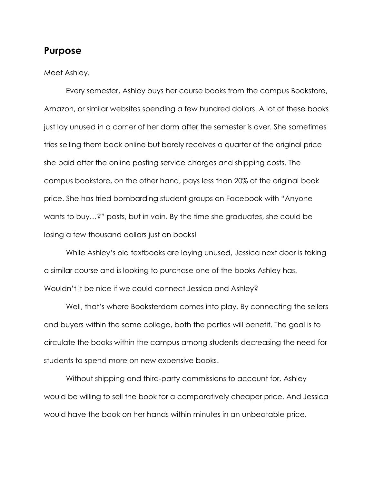### **Purpose**

#### Meet Ashley.

Every semester, Ashley buys her course books from the campus Bookstore, Amazon, or similar websites spending a few hundred dollars. A lot of these books just lay unused in a corner of her dorm after the semester is over. She sometimes tries selling them back online but barely receives a quarter of the original price she paid after the online posting service charges and shipping costs. The campus bookstore, on the other hand, pays less than 20% of the original book price. She has tried bombarding student groups on Facebook with "Anyone wants to buy…?" posts, but in vain. By the time she graduates, she could be losing a few thousand dollars just on books!

While Ashley's old textbooks are laying unused, Jessica next door is taking a similar course and is looking to purchase one of the books Ashley has. Wouldn't it be nice if we could connect Jessica and Ashley?

Well, that's where Booksterdam comes into play. By connecting the sellers and buyers within the same college, both the parties will benefit. The goal is to circulate the books within the campus among students decreasing the need for students to spend more on new expensive books.

Without shipping and third-party commissions to account for, Ashley would be willing to sell the book for a comparatively cheaper price. And Jessica would have the book on her hands within minutes in an unbeatable price.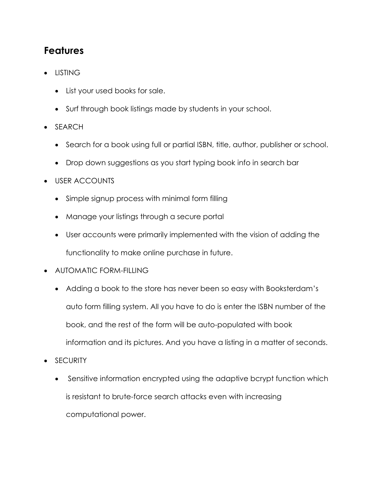# **Features**

- LISTING
	- List your used books for sale.
	- Surf through book listings made by students in your school.
- SEARCH
	- Search for a book using full or partial ISBN, title, author, publisher or school.
	- Drop down suggestions as you start typing book info in search bar
- USER ACCOUNTS
	- Simple signup process with minimal form filling
	- Manage your listings through a secure portal
	- User accounts were primarily implemented with the vision of adding the functionality to make online purchase in future.
- AUTOMATIC FORM-FILLING
	- Adding a book to the store has never been so easy with Booksterdam's auto form filling system. All you have to do is enter the ISBN number of the book, and the rest of the form will be auto-populated with book information and its pictures. And you have a listing in a matter of seconds.
- SECURITY
	- Sensitive information encrypted using the adaptive bcrypt function which is resistant to brute-force search attacks even with increasing computational power.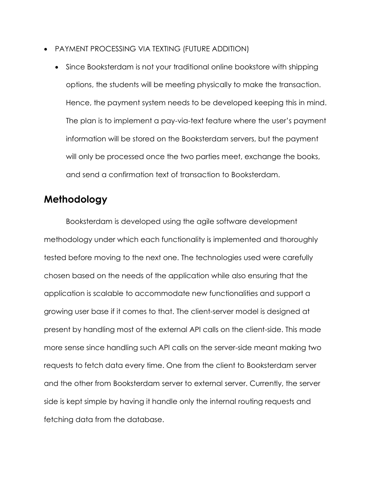- PAYMENT PROCESSING VIA TEXTING (FUTURE ADDITION)
	- Since Booksterdam is not your traditional online bookstore with shipping options, the students will be meeting physically to make the transaction. Hence, the payment system needs to be developed keeping this in mind. The plan is to implement a pay-via-text feature where the user's payment information will be stored on the Booksterdam servers, but the payment will only be processed once the two parties meet, exchange the books, and send a confirmation text of transaction to Booksterdam.

### **Methodology**

Booksterdam is developed using the agile software development methodology under which each functionality is implemented and thoroughly tested before moving to the next one. The technologies used were carefully chosen based on the needs of the application while also ensuring that the application is scalable to accommodate new functionalities and support a growing user base if it comes to that. The client-server model is designed at present by handling most of the external API calls on the client-side. This made more sense since handling such API calls on the server-side meant making two requests to fetch data every time. One from the client to Booksterdam server and the other from Booksterdam server to external server. Currently, the server side is kept simple by having it handle only the internal routing requests and fetching data from the database.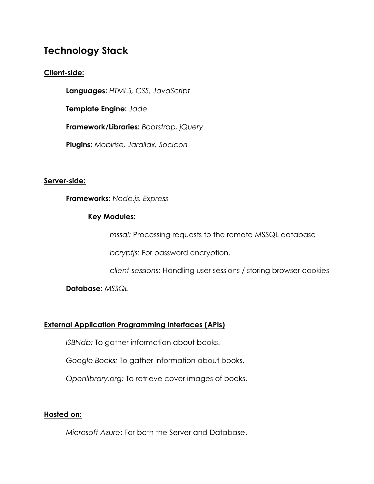## **Technology Stack**

### **Client-side:**

**Languages:** *HTML5, CSS, JavaScript*

**Template Engine:** *Jade*

**Framework/Libraries:** *Bootstrap, jQuery*

**Plugins:** *Mobirise, Jarallax, Socicon*

### **Server-side:**

**Frameworks:** *Node.js, Express*

#### **Key Modules:**

*mssql:* Processing requests to the remote MSSQL database

*bcryptjs:* For password encryption.

*client-sessions:* Handling user sessions / storing browser cookies

**Database:** *MSSQL*

### **External Application Programming Interfaces (APIs)**

*ISBNdb:* To gather information about books.

*Google Books:* To gather information about books.

*Openlibrary.org:* To retrieve cover images of books.

#### **Hosted on:**

*Microsoft Azure*: For both the Server and Database.